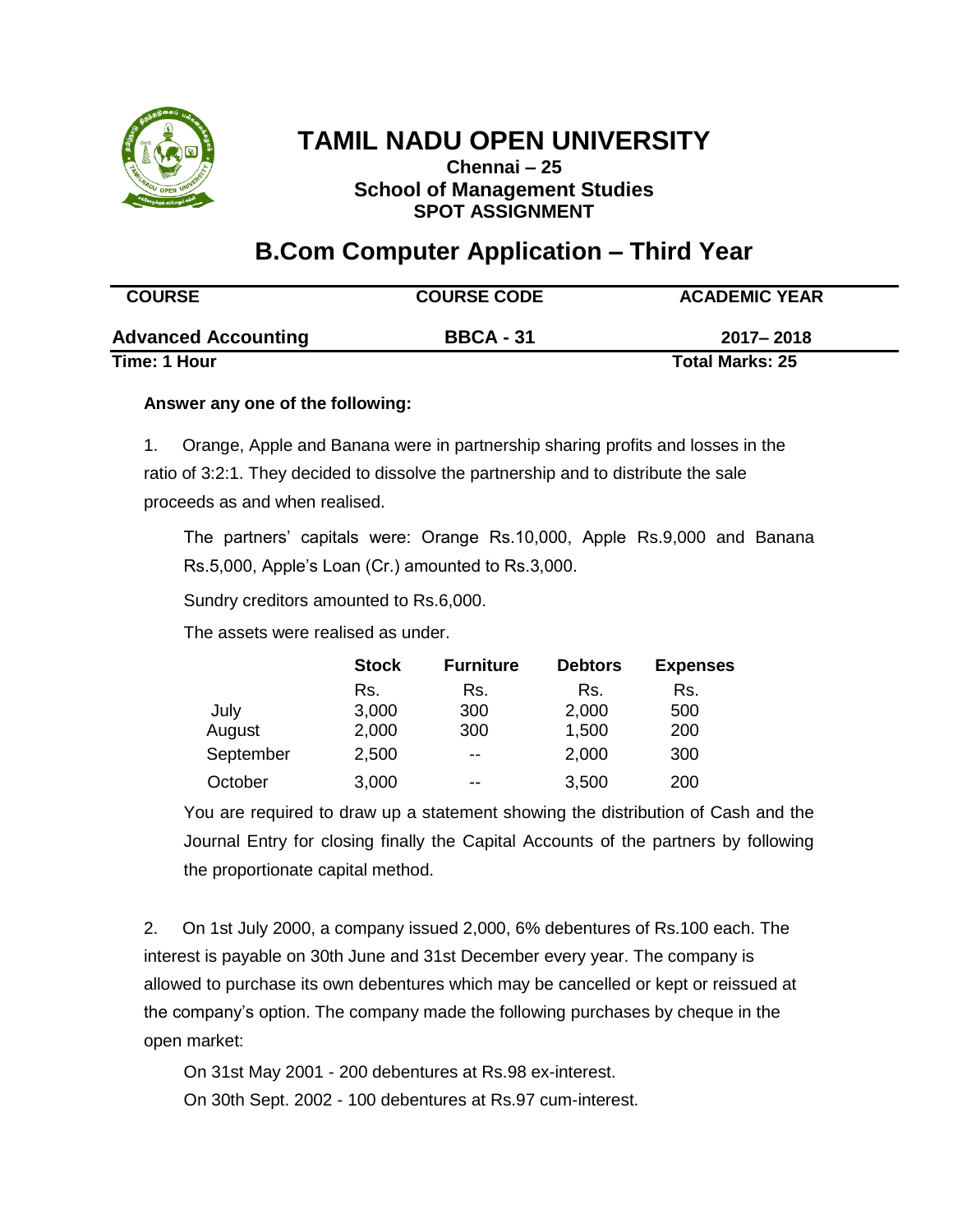

**Chennai – 25 School of Management Studies SPOT ASSIGNMENT**

### **B.Com Computer Application – Third Year**

| <b>COURSE</b>              | <b>COURSE CODE</b> | <b>ACADEMIC YEAR</b>   |  |
|----------------------------|--------------------|------------------------|--|
| <b>Advanced Accounting</b> | <b>BBCA - 31</b>   | 2017–2018              |  |
| Time: 1 Hour               |                    | <b>Total Marks: 25</b> |  |

#### **Answer any one of the following:**

1. Orange, Apple and Banana were in partnership sharing profits and losses in the ratio of 3:2:1. They decided to dissolve the partnership and to distribute the sale proceeds as and when realised.

The partners' capitals were: Orange Rs.10,000, Apple Rs.9,000 and Banana Rs.5,000, Apple's Loan (Cr.) amounted to Rs.3,000.

Sundry creditors amounted to Rs.6,000.

The assets were realised as under.

|           | <b>Stock</b> | <b>Furniture</b> | <b>Debtors</b> | <b>Expenses</b> |
|-----------|--------------|------------------|----------------|-----------------|
|           | Rs.          | Rs.              | Rs.            | Rs.             |
| July      | 3,000        | 300              | 2,000          | 500             |
| August    | 2,000        | 300              | 1,500          | 200             |
| September | 2,500        | --               | 2,000          | 300             |
| October   | 3,000        | --               | 3,500          | 200             |

You are required to draw up a statement showing the distribution of Cash and the Journal Entry for closing finally the Capital Accounts of the partners by following the proportionate capital method.

2. On 1st July 2000, a company issued 2,000, 6% debentures of Rs.100 each. The interest is payable on 30th June and 31st December every year. The company is allowed to purchase its own debentures which may be cancelled or kept or reissued at the company's option. The company made the following purchases by cheque in the open market:

On 31st May 2001 - 200 debentures at Rs.98 ex-interest. On 30th Sept. 2002 - 100 debentures at Rs.97 cum-interest.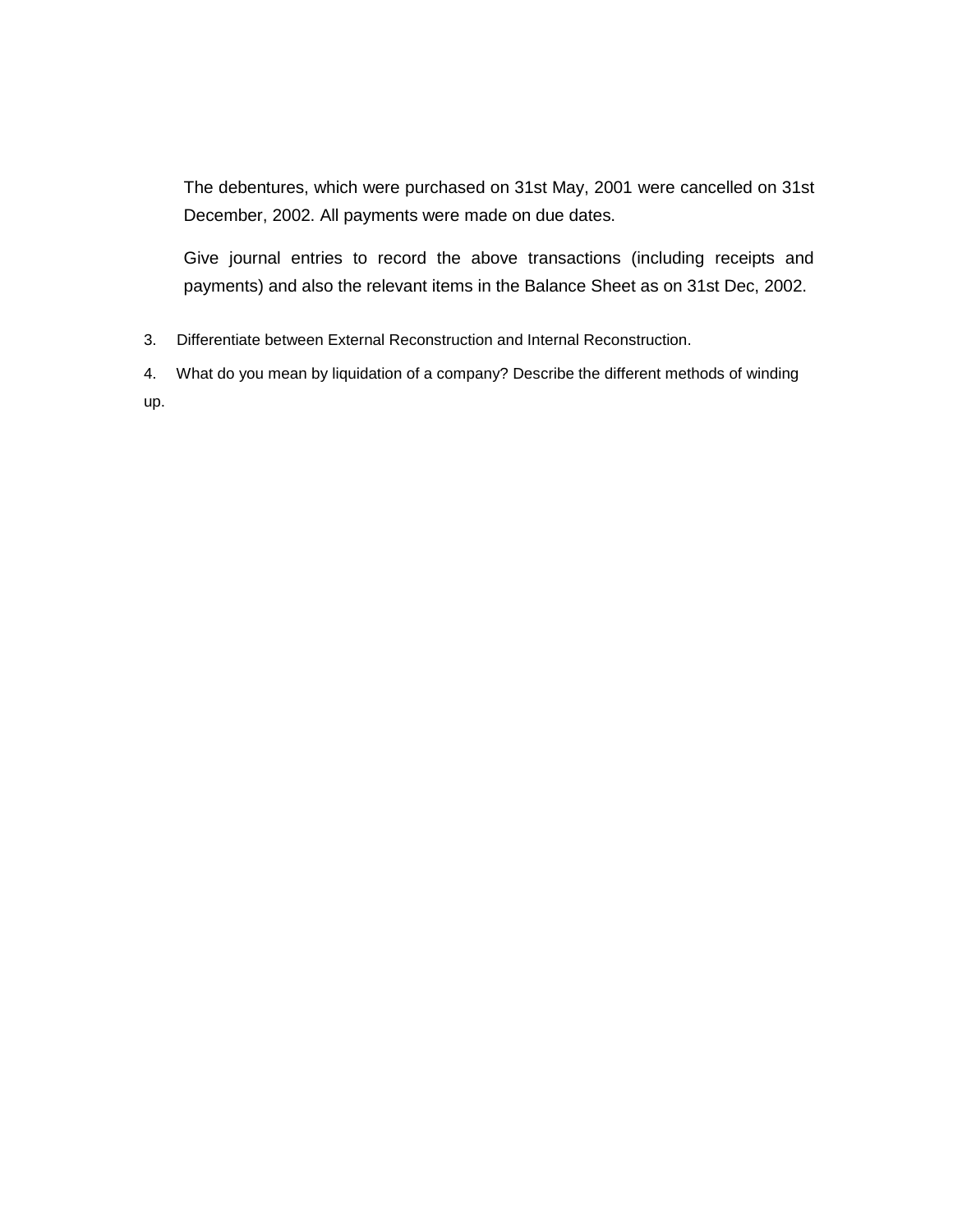The debentures, which were purchased on 31st May, 2001 were cancelled on 31st December, 2002. All payments were made on due dates.

Give journal entries to record the above transactions (including receipts and payments) and also the relevant items in the Balance Sheet as on 31st Dec, 2002.

3. Differentiate between External Reconstruction and Internal Reconstruction.

4. What do you mean by liquidation of a company? Describe the different methods of winding up.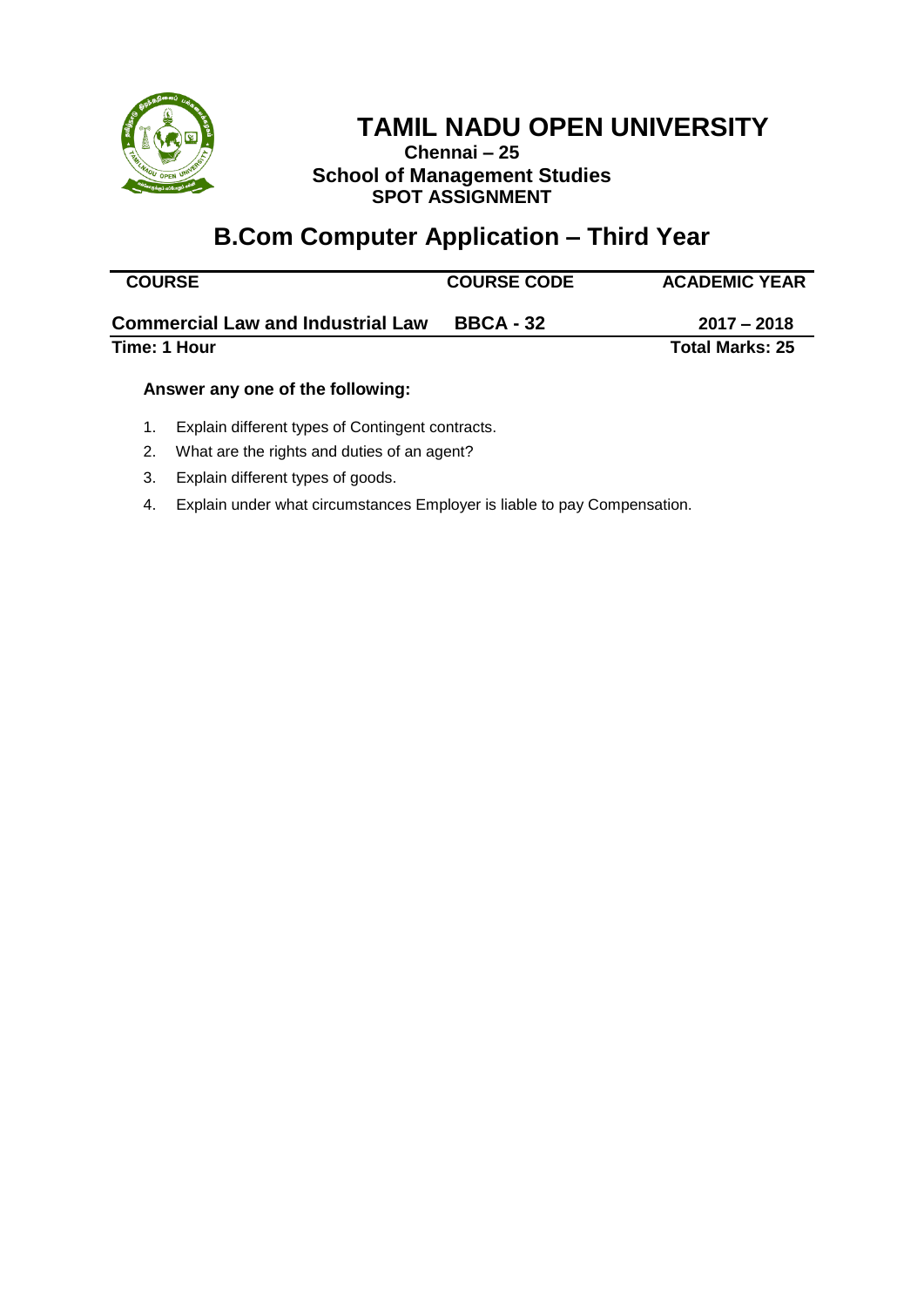

### **Chennai – 25 School of Management Studies SPOT ASSIGNMENT**

# **B.Com Computer Application – Third Year**

| <b>COURSE</b>                            | <b>COURSE CODE</b> | <b>ACADEMIC YEAR</b>   |
|------------------------------------------|--------------------|------------------------|
| <b>Commercial Law and Industrial Law</b> | <b>BBCA - 32</b>   | $2017 - 2018$          |
| Time: 1 Hour                             |                    | <b>Total Marks: 25</b> |
|                                          |                    |                        |

#### **Answer any one of the following:**

- 1. Explain different types of Contingent contracts.
- 2. What are the rights and duties of an agent?
- 3. Explain different types of goods.
- 4. Explain under what circumstances Employer is liable to pay Compensation.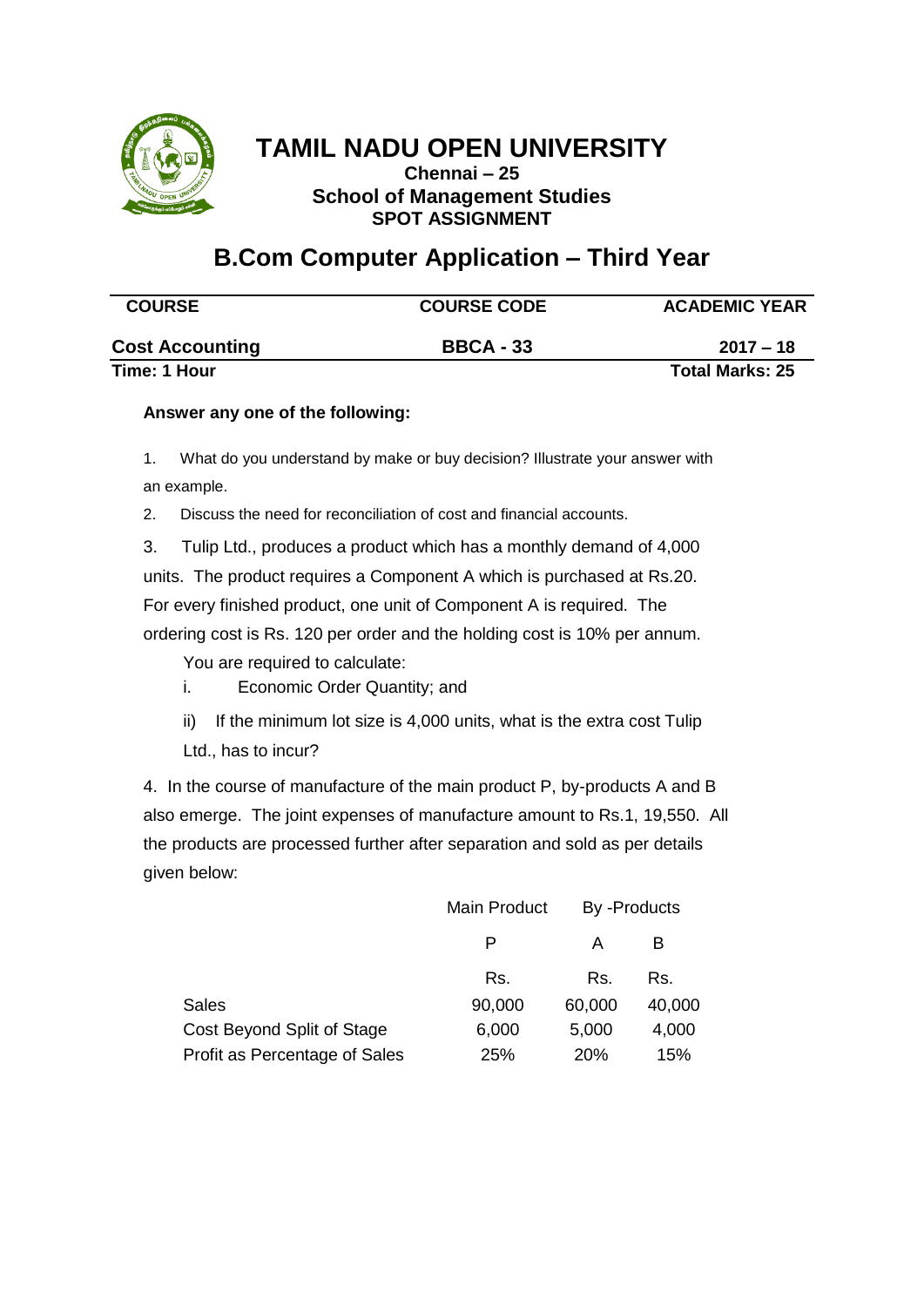

**Chennai – 25 School of Management Studies SPOT ASSIGNMENT**

### **B.Com Computer Application – Third Year**

| <b>COURSE</b>          | <b>COURSE CODE</b> | <b>ACADEMIC YEAR</b>   |
|------------------------|--------------------|------------------------|
| <b>Cost Accounting</b> | <b>BBCA - 33</b>   | $2017 - 18$            |
| Time: 1 Hour           |                    | <b>Total Marks: 25</b> |

#### **Answer any one of the following:**

1. What do you understand by make or buy decision? Illustrate your answer with an example.

2. Discuss the need for reconciliation of cost and financial accounts.

3. Tulip Ltd., produces a product which has a monthly demand of 4,000 units. The product requires a Component A which is purchased at Rs.20. For every finished product, one unit of Component A is required. The ordering cost is Rs. 120 per order and the holding cost is 10% per annum.

You are required to calculate:

- i. Economic Order Quantity; and
- ii) If the minimum lot size is 4,000 units, what is the extra cost Tulip Ltd., has to incur?

4. In the course of manufacture of the main product P, by-products A and B also emerge. The joint expenses of manufacture amount to Rs.1, 19,550. All the products are processed further after separation and sold as per details given below:

|                               | Main Product | By -Products |        |
|-------------------------------|--------------|--------------|--------|
|                               | P            | А            | в      |
|                               | Rs.          | Rs.          | Rs.    |
| <b>Sales</b>                  | 90,000       | 60,000       | 40,000 |
| Cost Beyond Split of Stage    | 6,000        | 5,000        | 4,000  |
| Profit as Percentage of Sales | 25%          | 20%          | 15%    |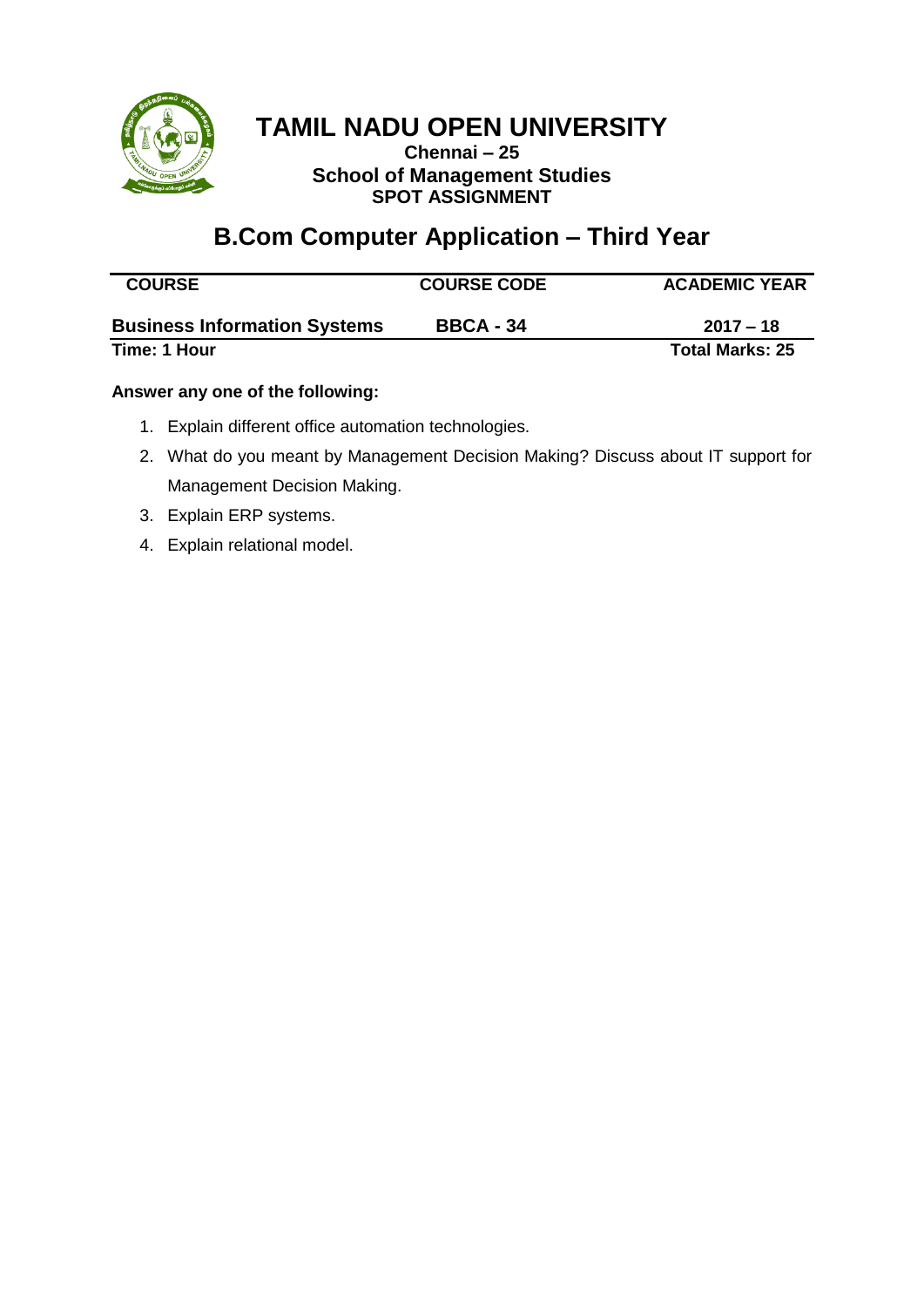

**Chennai – 25 School of Management Studies SPOT ASSIGNMENT**

### **B.Com Computer Application – Third Year**

| <b>COURSE</b>                       | <b>COURSE CODE</b> | <b>ACADEMIC YEAR</b>   |
|-------------------------------------|--------------------|------------------------|
| <b>Business Information Systems</b> | <b>BBCA - 34</b>   | $2017 - 18$            |
| Time: 1 Hour                        |                    | <b>Total Marks: 25</b> |

#### **Answer any one of the following:**

- 1. Explain different office automation technologies.
- 2. What do you meant by Management Decision Making? Discuss about IT support for Management Decision Making.
- 3. Explain ERP systems.
- 4. Explain relational model.